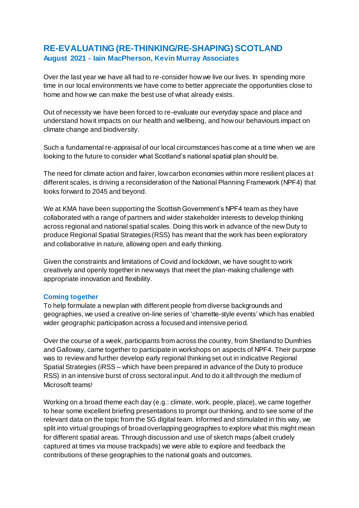## **RE-EVALUATING (RE-THINKING/RE-SHAPING) SCOTLAND August 2021 - Iain MacPherson, Kevin Murray Associates**

Over the last year we have all had to re-consider how we live our lives. In spending more time in our local environments we have come to better appreciate the opportunities close to home and how we can make the best use of what already exists.

Out of necessity we have been forced to re-evaluate our everyday space and place and understand how it impacts on our health and wellbeing, and how our behaviours impact on climate change and biodiversity.

Such a fundamental re-appraisal of our local circumstances has come at a time when we are looking to the future to consider what Scotland's national spatial plan should be.

The need for climate action and fairer, low carbon economies within more resilient places a t different scales, is driving a reconsideration of the National Planning Framework (NPF4) that looks forward to 2045 and beyond.

We at KMA have been supporting the Scottish Government's NPF4 team as they have collaborated with a range of partners and wider stakeholder interests to develop thinking across regional and national spatial scales. Doing this work in advance of the new Duty to produce Regional Spatial Strategies (RSS) has meant that the work has been exploratory and collaborative in nature, allowing open and early thinking.

Given the constraints and limitations of Covid and lockdown, we have sought to work creatively and openly together in new ways that meet the plan-making challenge with appropriate innovation and flexibility.

## **Coming together**

To help formulate a new plan with different people from diverse backgrounds and geographies, we used a creative on-line series of 'charrette-style events' which has enabled wider geographic participation across a focused and intensive period.

Over the course of a week, participants from across the country, from Shetland to Dumfries and Galloway, came together to participate in workshops on aspects of NPF4. Their purpose was to review and further develop early regional thinking set out in indicative Regional Spatial Strategies (iRSS – which have been prepared in advance of the Duty to produce RSS) in an intensive burst of cross sectoral input.And to do it all through the medium of Microsoft teams!

Working on a broad theme each day (e.g.: climate, work, people, place), we came together to hear some excellent briefing presentations to prompt our thinking, and to see some of the relevant data on the topic from the SG digital team. Informed and stimulated in this way, we split into virtual groupings of broad overlapping geographies to explore what this might mean for different spatial areas. Through discussion and use of sketch maps (albeit crudely captured at times via mouse trackpads) we were able to explore and feedback the contributions of these geographies to the national goals and outcomes.